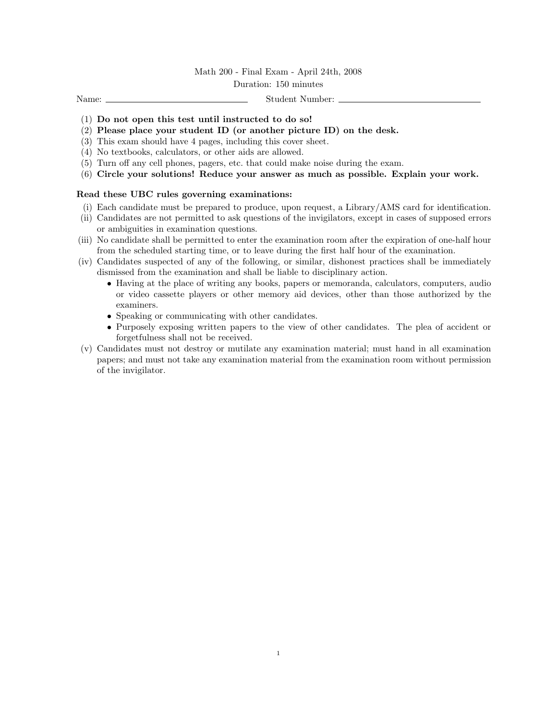## Math 200 - Final Exam - April 24th, 2008

## Duration: 150 minutes

Name: Student Number:

- (1) Do not open this test until instructed to do so!
- (2) Please place your student ID (or another picture ID) on the desk.
- (3) This exam should have 4 pages, including this cover sheet.
- (4) No textbooks, calculators, or other aids are allowed.
- (5) Turn off any cell phones, pagers, etc. that could make noise during the exam.
- (6) Circle your solutions! Reduce your answer as much as possible. Explain your work.

## Read these UBC rules governing examinations:

- (i) Each candidate must be prepared to produce, upon request, a Library/AMS card for identification.
- (ii) Candidates are not permitted to ask questions of the invigilators, except in cases of supposed errors or ambiguities in examination questions.
- (iii) No candidate shall be permitted to enter the examination room after the expiration of one-half hour from the scheduled starting time, or to leave during the first half hour of the examination.
- (iv) Candidates suspected of any of the following, or similar, dishonest practices shall be immediately dismissed from the examination and shall be liable to disciplinary action.
	- Having at the place of writing any books, papers or memoranda, calculators, computers, audio or video cassette players or other memory aid devices, other than those authorized by the examiners.
	- Speaking or communicating with other candidates.
	- Purposely exposing written papers to the view of other candidates. The plea of accident or forgetfulness shall not be received.
- (v) Candidates must not destroy or mutilate any examination material; must hand in all examination papers; and must not take any examination material from the examination room without permission of the invigilator.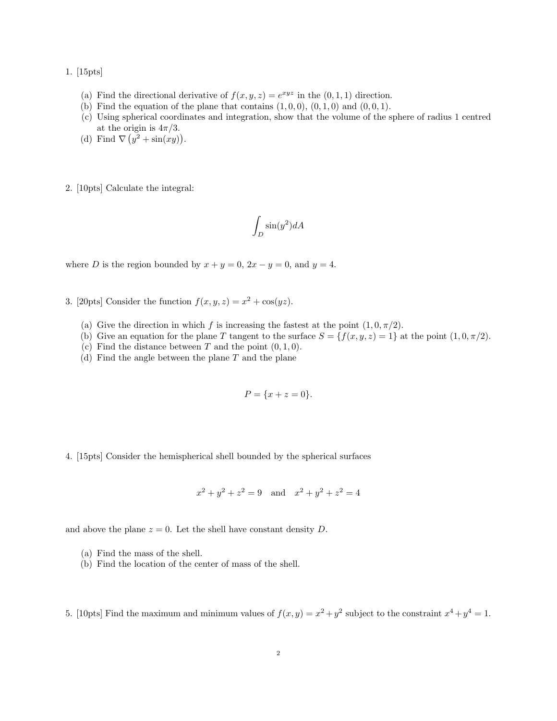1. [15pts]

- (a) Find the directional derivative of  $f(x, y, z) = e^{xyz}$  in the  $(0, 1, 1)$  direction.
- (b) Find the equation of the plane that contains  $(1, 0, 0)$ ,  $(0, 1, 0)$  and  $(0, 0, 1)$ .
- (c) Using spherical coordinates and integration, show that the volume of the sphere of radius 1 centred at the origin is  $4\pi/3$ .
- (d) Find  $\nabla (y^2 + \sin(xy)).$

2. [10pts] Calculate the integral:

$$
\int_D \sin(y^2) dA
$$

where D is the region bounded by  $x + y = 0$ ,  $2x - y = 0$ , and  $y = 4$ .

- 3. [20pts] Consider the function  $f(x, y, z) = x^2 + \cos(yz)$ .
	- (a) Give the direction in which f is increasing the fastest at the point  $(1, 0, \pi/2)$ .
	- (b) Give an equation for the plane T tangent to the surface  $S = \{f(x, y, z) = 1\}$  at the point  $(1, 0, \pi/2)$ .
	- (c) Find the distance between T and the point  $(0, 1, 0)$ .
	- (d) Find the angle between the plane  $T$  and the plane

$$
P = \{x + z = 0\}.
$$

4. [15pts] Consider the hemispherical shell bounded by the spherical surfaces

$$
x^{2} + y^{2} + z^{2} = 9
$$
 and  $x^{2} + y^{2} + z^{2} = 4$ 

and above the plane  $z = 0$ . Let the shell have constant density D.

- (a) Find the mass of the shell.
- (b) Find the location of the center of mass of the shell.

5. [10pts] Find the maximum and minimum values of  $f(x, y) = x^2 + y^2$  subject to the constraint  $x^4 + y^4 = 1$ .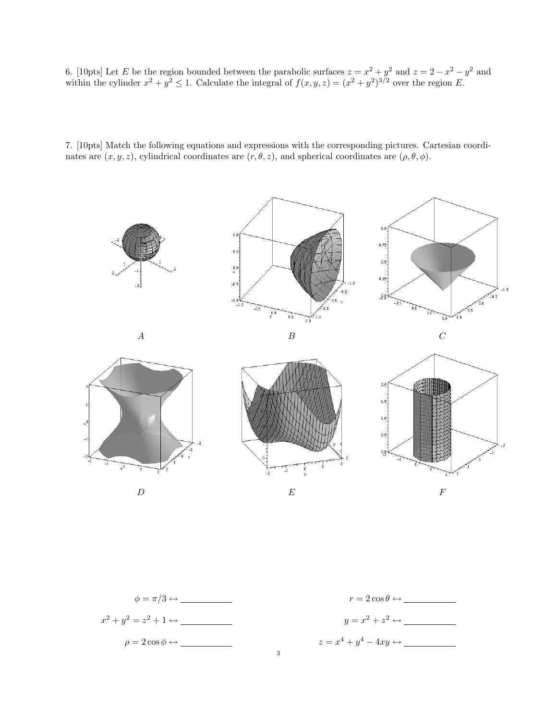6. [10pts] Let E be the region bounded between the parabolic surfaces  $z = x^2 + y^2$  and  $z = 2 - x^2 - y^2$  and within the cylinder  $x^2 + y^2 \le 1$ . Calculate the integral of  $f(x, y, z) = (x^2 + y^2)^{3/2}$  over the region E.

7. [10pts] Match the following equations and expressions with the corresponding pictures. Cartesian coordinates are  $(x, y, z)$ , cylindrical coordinates are  $(r, \theta, z)$ , and spherical coordinates are  $(\rho, \theta, \phi)$ .



$$
\phi = \pi/3 \leftrightarrow \underline{\hspace{1cm}} \qquad \qquad r = 2 \cos \theta \leftrightarrow \underline{\hspace{1cm}} \underline{\hspace{1cm}} \qquad \qquad r = 2 \cos \theta \leftrightarrow \underline{\hspace{1cm}} \underline{\hspace{1cm}} \qquad \qquad \underline{\hspace{1cm}} \qquad \qquad r = 2 \cos \theta \leftrightarrow \underline{\hspace{1cm}} \underline{\hspace{1cm}} \qquad \qquad \underline{\hspace{1cm}} \qquad \qquad \underline{\hspace{1cm}} \qquad \qquad \underline{\hspace{1cm}} \qquad \qquad \underline{\hspace{1cm}} \qquad \qquad \underline{\hspace{1cm}} \qquad \qquad \underline{\hspace{1cm}} \qquad \underline{\hspace{1cm}} \qquad \underline{\hspace{1cm}} \qquad \underline{\hspace{1cm}} \qquad \qquad \underline{\hspace{1cm}} \qquad \underline{\hspace{1cm}} \qquad \qquad \underline{\hspace{1cm}} \qquad \qquad \underline{\hspace{1cm}} \qquad \qquad \underline{\hspace{1cm}} \qquad \qquad \underline{\hspace{1cm}} \qquad \qquad \underline{\hspace{1cm}} \qquad \qquad \underline{\hspace{1cm}} \qquad \qquad \underline{\hspace{1cm}} \qquad \qquad \underline{\hspace{1cm}} \qquad \qquad \underline{\hspace{1cm}} \qquad \qquad \underline{\hspace{1cm}} \qquad \qquad \underline{\hspace{1cm}} \qquad \qquad \underline{\hspace{1cm}} \qquad \qquad \underline{\hspace{1cm}} \qquad \qquad \underline{\hspace{1cm}} \qquad \qquad \underline{\hspace{1cm}} \qquad \qquad \underline{\hspace{1cm}} \qquad \qquad \underline{\hspace{1cm}} \qquad \qquad \underline{\hspace{1cm}} \qquad \qquad \underline{\hspace{1cm}} \qquad \qquad \underline{\hspace{1cm}} \qquad \qquad \underline{\hspace{1cm}} \qquad \qquad \underline{\hspace{1cm}} \qquad \qquad \underline{\hspace{1cm}} \qquad \qquad \underline{\hspace{1cm}} \qquad \qquad \underline{\hspace{1cm}} \qquad \qquad \underline{\hspace{1cm}} \qquad \qquad \underline{\hspace{1cm}} \qquad \qquad \underline{\hspace{1cm}} \qquad \qquad \underline{\hspace{1cm}} \qquad \qquad \underline{\hspace{1cm}} \qquad \qquad \underline{\hspace{1cm}} \qquad \qquad \
$$